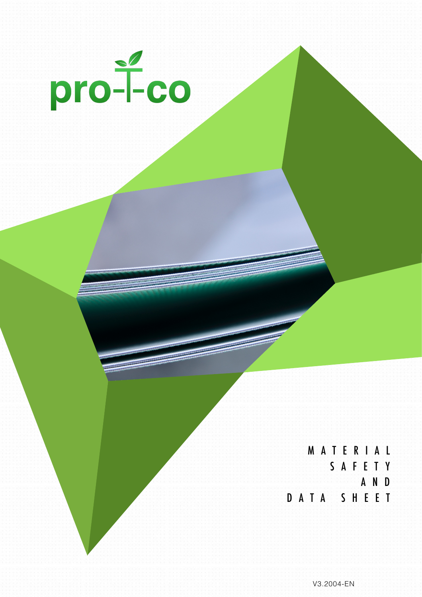# pro-Fco

MATERIAL SAFETY AND DATA SHEET

V3.2004-EN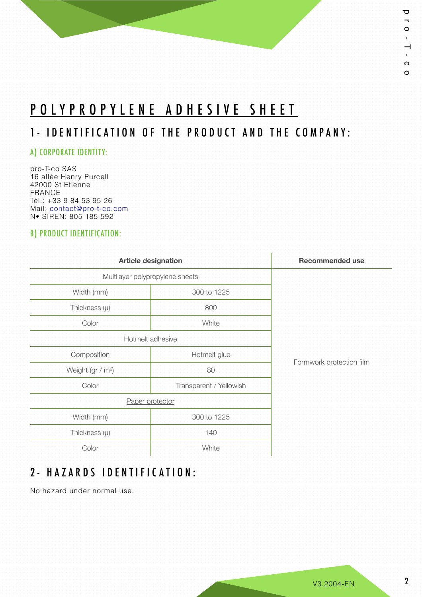# POLYPROPYLENE ADHESIVE SHEET

## 1- IDENTIFICATION OF THE PRODUCT AND THE COMPANY:

#### A) CORPORATE IDENTITY:

pro-T-co SAS 16 allée Henry Purcell 42000 St Etienne FRANCE Tél.: +33 9 84 53 95 26 Mail: [contact@pro-t-co.com](mailto:contact@pro-t-co.com) N• SIREN: 805 185 592

#### B) PRODUCT IDENTIFICATION:

| <b>Article designation</b>      |                         | <b>Recommended use</b>   |
|---------------------------------|-------------------------|--------------------------|
| Multilayer polypropylene sheets |                         |                          |
| Width (mm)                      | 300 to 1225             |                          |
| Thickness (µ)                   | 800                     |                          |
| Color                           | White                   |                          |
| Hotmelt adhesive                |                         |                          |
| Composition                     | Hotmelt glue            | Formwork protection film |
| Weight (gr / m <sup>2</sup> )   | 80                      |                          |
| Color                           | Transparent / Yellowish |                          |
| Paper protector                 |                         |                          |
| Width (mm)                      | 300 to 1225             |                          |
| Thickness (µ)                   | 140                     |                          |
| Color                           | White                   |                          |
|                                 |                         |                          |

## 2- HAZARDS IDENTIFICATION:

No hazard under normal use.

pro-T-co

 $\sigma$  $\overline{\phantom{a}}$  $\circ$ Тņ  $\overline{\phantom{0}}$ S.  $\Omega$  $\circ$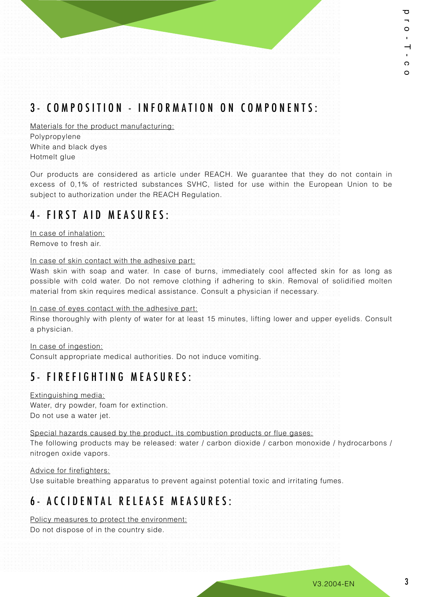## 3- COMPOSITION - INFORMATION ON COMPONENTS:

Materials for the product manufacturing:

Polypropylene White and black dyes Hotmelt glue

Our products are considered as article under REACH. We guarantee that they do not contain in excess of 0,1% of restricted substances SVHC, listed for use within the European Union to be subject to authorization under the REACH Regulation.

## 4- FIRST AID MEASURES:

In case of inhalation: Remove to fresh air.

#### In case of skin contact with the adhesive part:

Wash skin with soap and water. In case of burns, immediately cool affected skin for as long as possible with cold water. Do not remove clothing if adhering to skin. Removal of solidified molten material from skin requires medical assistance. Consult a physician if necessary.

#### In case of eyes contact with the adhesive part:

Rinse thoroughly with plenty of water for at least 15 minutes, lifting lower and upper eyelids. Consult a physician.

In case of ingestion: Consult appropriate medical authorities. Do not induce vomiting.

### 5- FIREFIGHTING MEASURES:

Extinguishing media: Water, dry powder, foam for extinction. Do not use a water jet.

Special hazards caused by the product, its combustion products or flue gases: The following products may be released: water / carbon dioxide / carbon monoxide / hydrocarbons / nitrogen oxide vapors.

Advice for firefighters: Use suitable breathing apparatus to prevent against potential toxic and irritating fumes.

## 6- ACCIDENTAL RELEASE MEASURES:

Policy measures to protect the environment: Do not dispose of in the country side.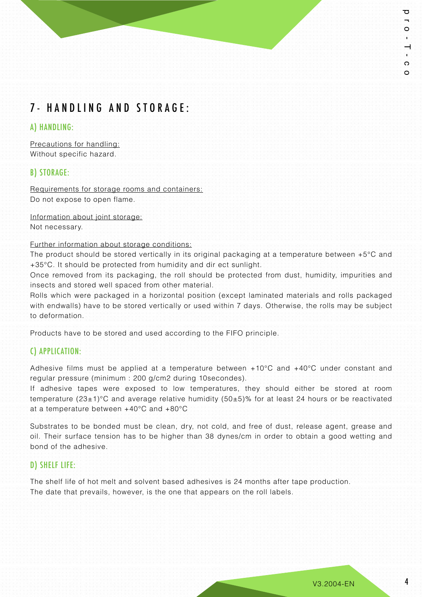## 7- HANDLING AND STORAGE:

#### A) HANDLING:

Precautions for handling: Without specific hazard.

#### B) STORAGE:

Requirements for storage rooms and containers: Do not expose to open flame.

Information about joint storage: Not necessary.

#### Further information about storage conditions:

The product should be stored vertically in its original packaging at a temperature between +5°C and +35°C. It should be protected from humidity and dir ect sunlight.

Once removed from its packaging, the roll should be protected from dust, humidity, impurities and insects and stored well spaced from other material.

Rolls which were packaged in a horizontal position (except laminated materials and rolls packaged with endwalls) have to be stored vertically or used within 7 days. Otherwise, the rolls may be subject to deformation.

Products have to be stored and used according to the FIFO principle.

#### C) APPLICATION:

Adhesive films must be applied at a temperature between +10°C and +40°C under constant and regular pressure (minimum : 200 g/cm2 during 10secondes).

If adhesive tapes were exposed to low temperatures, they should either be stored at room temperature (23±1)°C and average relative humidity (50±5)% for at least 24 hours or be reactivated at a temperature between +40°C and +80°C

Substrates to be bonded must be clean, dry, not cold, and free of dust, release agent, grease and oil. Their surface tension has to be higher than 38 dynes/cm in order to obtain a good wetting and bond of the adhesive.

#### D) SHELF LIFE:

The shelf life of hot melt and solvent based adhesives is 24 months after tape production. The date that prevails, however, is the one that appears on the roll labels.

ರ

 $\Omega$ 

 $\Omega$  $\Omega$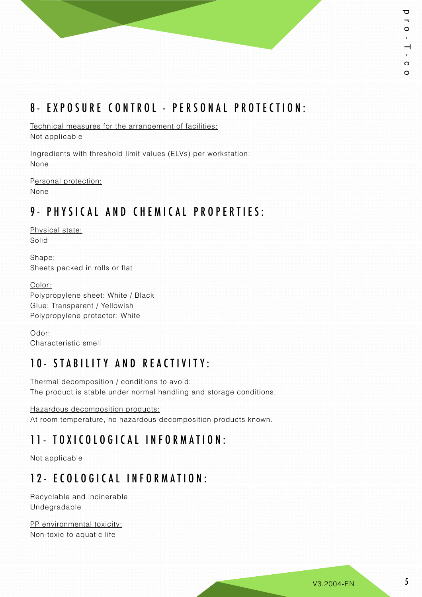## 8- EXPOSURE CONTROL - PERSONAL PROTECTION:

Technical measures for the arrangement of facilities: Not applicable

Ingredients with threshold limit values (ELVs) per workstation: None

Personal protection: None

## 9- PHYSICAL AND CHEMICAL PROPERTIES:

Physical state: Solid

Shape: Sheets packed in rolls or flat

Color: Polypropylene sheet: White / Black Glue: Transparent / Yellowish Polypropylene protector: White

Odor: Characteristic smell

## 10- STABILITY AND REACTIVITY:

Thermal decomposition / conditions to avoid: The product is stable under normal handling and storage conditions.

Hazardous decomposition products: At room temperature, no hazardous decomposition products known.

## 11- TOXICOLOGIC AL INFORMATION:

Not applicable

## 12- ECOLOGICAL INFORMATION:

Recyclable and incinerable Undegradable

PP environmental toxicity: Non-toxic to aquatic life

Ō

 $\circ$ 

 $\Omega$  $\Omega$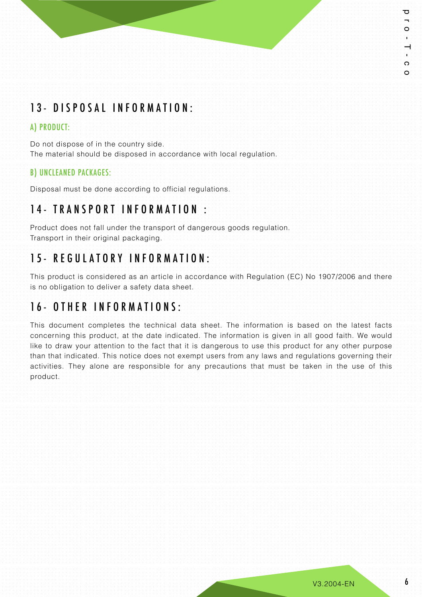## 13- DISPOSAL INFORMATION:

#### A) PRODUCT:

Do not dispose of in the country side. The material should be disposed in accordance with local regulation.

#### B) UNCLEANED PACKAGES:

Disposal must be done according to official regulations.

## 14- TRANSPORT INFORMATION :

Product does not fall under the transport of dangerous goods regulation. Transport in their original packaging.

## 15- REGULATORY INFORMATION:

This product is considered as an article in accordance with Regulation (EC) No 1907/2006 and there is no obligation to deliver a safety data sheet.

## 16- OTHER INFORMATIONS:

This document completes the technical data sheet. The information is based on the latest facts concerning this product, at the date indicated. The information is given in all good faith. We would like to draw your attention to the fact that it is dangerous to use this product for any other purpose than that indicated. This notice does not exempt users from any laws and regulations governing their activities. They alone are responsible for any precautions that must be taken in the use of this product.



 $\Omega$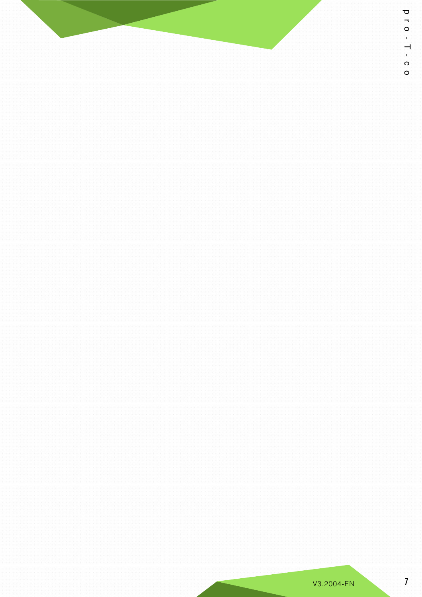